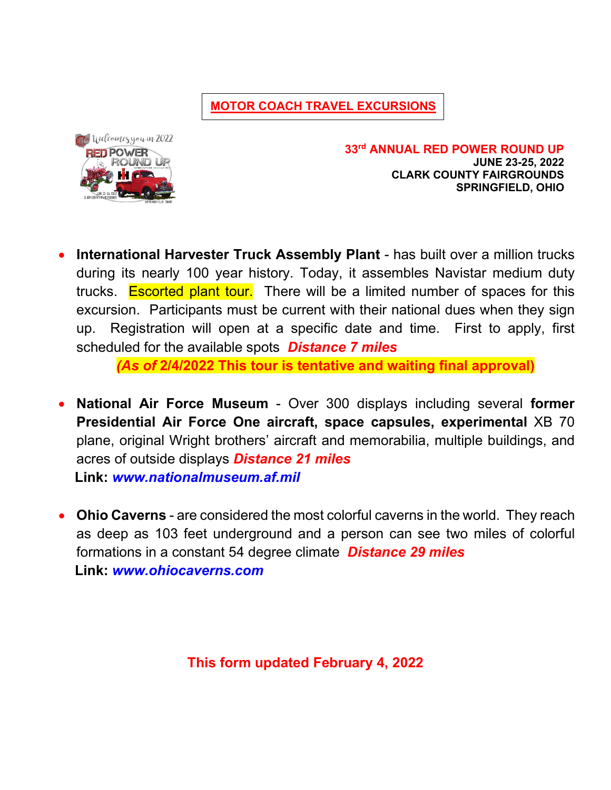**MOTOR COACH TRAVEL EXCURSIONS**



**33rd ANNUAL RED POWER ROUND UP JUNE 23-25, 2022 CLARK COUNTY FAIRGROUNDS SPRINGFIELD, OHIO**

**International Harvester Truck Assembly Plant** - has built over a million trucks during its nearly 100 year history. Today, it assembles Navistar medium duty trucks. Escorted plant tour. There will be a limited number of spaces for this excursion. Participants must be current with their national dues when they sign up. Registration will open at a specific date and time. First to apply, first scheduled for the available spots *Distance 7 miles*

*(As of* **2/4/2022 This tour is tentative and waiting final approval)**

- **National Air Force Museum** Over 300 displays including several **former Presidential Air Force One aircraft, space capsules, experimental** XB 70 plane, original Wright brothers' aircraft and memorabilia, multiple buildings, and acres of outside displays *Distance 21 miles*  **Link:** *[www.nationalmuseum.af.mil](http://www.nationalmuseum.af.mil/)*
- **Ohio Caverns** are considered the most colorful caverns in the world. They reach as deep as 103 feet underground and a person can see two miles of colorful formations in a constant 54 degree climate *Distance 29 miles*   **Link:** *www.ohiocaverns.com*

**This form updated February 4, 2022**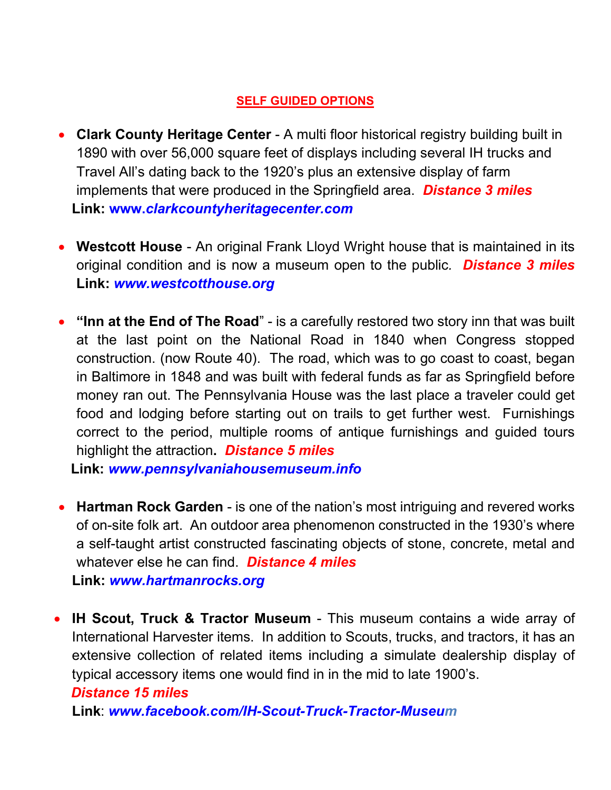## **SELF GUIDED OPTIONS**

- **Clark County Heritage Center**  A multi floor historical registry building built in 1890 with over 56,000 square feet of displays including several IH trucks and Travel All's dating back to the 1920's plus an extensive display of farm implements that were produced in the Springfield area. *Distance 3 miles* **Link: www.***clarkcountyheritagecenter.com*
- **Westcott House**  An original Frank Lloyd Wright house that is maintained in its original condition and is now a museum open to the public*. Distance 3 miles* **Link:** *www.westcotthouse.org*
- **"Inn at the End of The Road**" is a carefully restored two story inn that was built at the last point on the National Road in 1840 when Congress stopped construction. (now Route 40). The road, which was to go coast to coast, began in Baltimore in 1848 and was built with federal funds as far as Springfield before money ran out. The Pennsylvania House was the last place a traveler could get food and lodging before starting out on trails to get further west. Furnishings correct to the period, multiple rooms of antique furnishings and guided tours highlight the attraction**.** *Distance 5 miles*

 **Link:** *[www.pennsylvaniahousemuseum.info](http://www.pennsylvaniahousemuseum.info/)*

- **Hartman Rock Garden** is one of the nation's most intriguing and revered works of on-site folk art. An outdoor area phenomenon constructed in the 1930's where a self-taught artist constructed fascinating objects of stone, concrete, metal and whatever else he can find. *Distance 4 miles* **Link:** *www.hartmanrocks.org*
- **IH Scout, Truck & Tractor Museum** This museum contains a wide array of International Harvester items. In addition to Scouts, trucks, and tractors, it has an extensive collection of related items including a simulate dealership display of typical accessory items one would find in in the mid to late 1900's.

## *Distance 15 miles*

**Link**: *www.facebook.com/IH-Scout-Truck-Tractor-Museum*